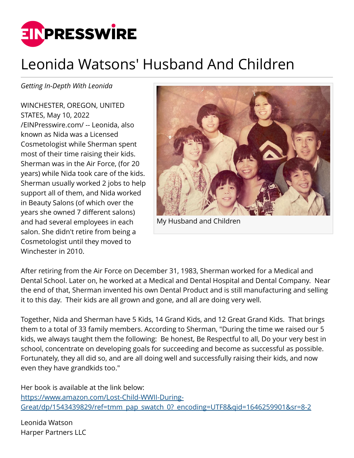

## Leonida Watsons' Husband And Children

*Getting In-Depth With Leonida*

WINCHESTER, OREGON, UNITED STATES, May 10, 2022 [/EINPresswire.com/](http://www.einpresswire.com) -- Leonida, also known as Nida was a Licensed Cosmetologist while Sherman spent most of their time raising their kids. Sherman was in the Air Force, (for 20 years) while Nida took care of the kids. Sherman usually worked 2 jobs to help support all of them, and Nida worked in Beauty Salons (of which over the years she owned 7 different salons) and had several employees in each salon. She didn't retire from being a Cosmetologist until they moved to Winchester in 2010.



My Husband and Children

After retiring from the Air Force on December 31, 1983, Sherman worked for a Medical and Dental School. Later on, he worked at a Medical and Dental Hospital and Dental Company. Near the end of that, Sherman invented his own Dental Product and is still manufacturing and selling it to this day. Their kids are all grown and gone, and all are doing very well.

Together, Nida and Sherman have 5 Kids, 14 Grand Kids, and 12 Great Grand Kids. That brings them to a total of 33 family members. According to Sherman, "During the time we raised our 5 kids, we always taught them the following: Be honest, Be Respectful to all, Do your very best in school, concentrate on developing goals for succeeding and become as successful as possible. Fortunately, they all did so, and are all doing well and successfully raising their kids, and now even they have grandkids too."

Her book is available at the link below: [https://www.amazon.com/Lost-Child-WWII-During-](https://www.amazon.com/Lost-Child-WWII-During-Great/dp/1543439829/ref=tmm_pap_swatch_0?_encoding=UTF8&qid=1646259901&sr=8-2)[Great/dp/1543439829/ref=tmm\\_pap\\_swatch\\_0?\\_encoding=UTF8&qid=1646259901&sr=8-2](https://www.amazon.com/Lost-Child-WWII-During-Great/dp/1543439829/ref=tmm_pap_swatch_0?_encoding=UTF8&qid=1646259901&sr=8-2)

Leonida Watson Harper Partners LLC